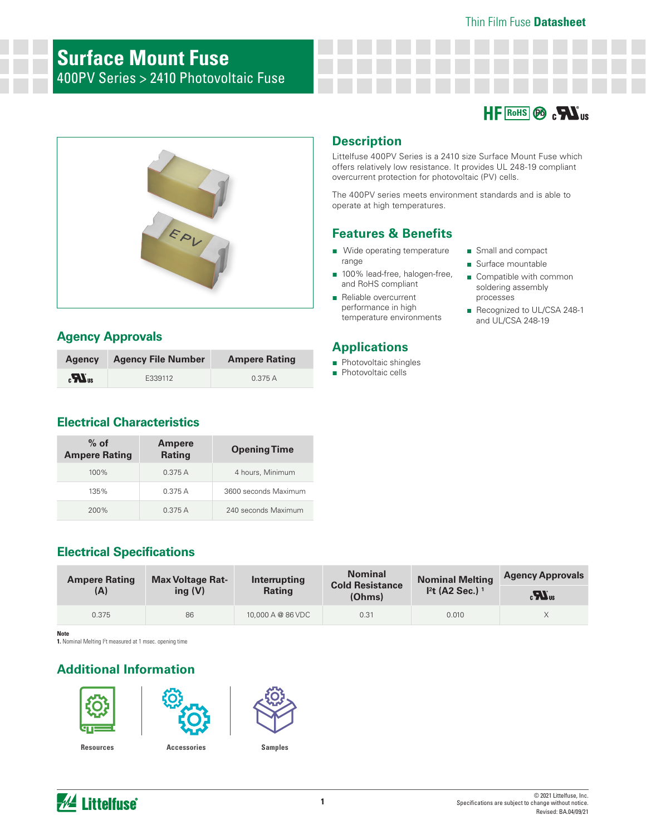### Thin Film Fuse **Datasheet**

## **Surface Mount Fuse** 400PV Series > 2410 Photovoltaic Fuse





## **Agency Approvals**

| <b>Agency</b>                | <b>Agency File Number</b> | <b>Ampere Rating</b> |
|------------------------------|---------------------------|----------------------|
| $\boldsymbol{H}_{\text{us}}$ | E339112                   | 0.375A               |

### **Electrical Characteristics**

| $%$ of<br><b>Ampere Rating</b> | <b>Ampere</b><br><b>Rating</b> | <b>Opening Time</b>  |
|--------------------------------|--------------------------------|----------------------|
| $100\%$                        | 0.375A                         | 4 hours, Minimum     |
| 135%                           | 0.375A                         | 3600 seconds Maximum |
| 200%                           | 0.375A                         | 240 seconds Maximum  |

## **Electrical Specifications**

| <b>Ampere Rating</b> | <b>Max Voltage Rat-</b> | Interrupting      | <b>Nominal</b><br><b>Cold Resistance</b> | <b>Nominal Melting</b>       | <b>Agency Approvals</b>         |
|----------------------|-------------------------|-------------------|------------------------------------------|------------------------------|---------------------------------|
| (A)                  | ing $(V)$               | <b>Rating</b>     | (Ohms)                                   | $I2t$ (A2 Sec.) <sup>1</sup> | $_{c}$ $\mathbf{W}_{\text{us}}$ |
| 0.375                | 86                      | 10,000 A @ 86 VDC | 0.31                                     | 0.010                        |                                 |

**Note**

1. Nominal Melting <sup>2</sup>t measured at 1 msec. opening time

## **Additional Information**







**Resources Accessories Samples**





Littelfuse 400PV Series is a 2410 size Surface Mount Fuse which offers relatively low resistance. It provides UL 248-19 compliant overcurrent protection for photovoltaic (PV) cells.

The 400PV series meets environment standards and is able to operate at high temperatures.

## **Features & Benefits**

- Wide operating temperature range
- 100% lead-free, halogen-free, and RoHS compliant
- Reliable overcurrent performance in high temperature environments

## **Applications**

- Photovoltaic shingles
- Photovoltaic cells
- Small and compact
- Surface mountable
- Compatible with common soldering assembly processes
- Recognized to UL/CSA 248-1 and UL/CSA 248-19

© 2021 Littelfuse, Inc. Specifications are subject to change without notice. Revised: BA.04/09/21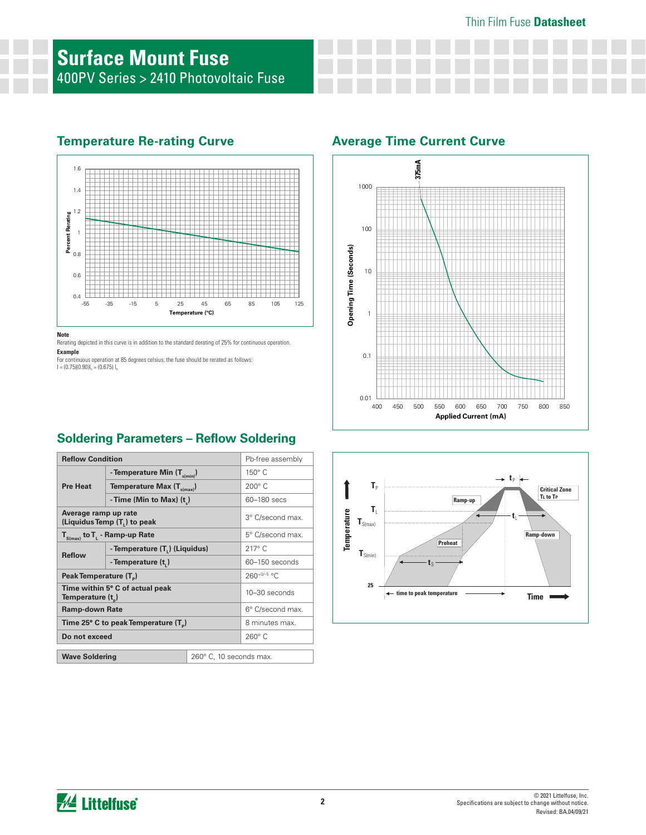# **Surface Mount Fuse** 400PV Series > 2410 Photovoltaic Fuse

## **Temperature Re-rating Curve Average Time Current Curve**



**Note**

Rerating depicted in this curve is in addition to the standard derating of 25% for continuous operation.

**Example**

For continuous operation at 85 degrees celsius, the fuse should be rerated as follows:<br>I = (0.75)(0.90)I<sub>n</sub> = (0.675) I<sub>n</sub>





## **Soldering Parameters – Reflow Soldering**

| <b>Reflow Condition</b>                                          |                                  | Pb-free assembly |                |
|------------------------------------------------------------------|----------------------------------|------------------|----------------|
|                                                                  | - Temperature Min $(T_{s(min)})$ |                  | $150^\circ$ C  |
| <b>Pre Heat</b>                                                  | Temperature Max $(T_{s(max)})$   |                  | $200^\circ$ C  |
|                                                                  | - Time (Min to Max) $(t_*)$      |                  | 60–180 secs    |
| Average ramp up rate<br>(Liquidus Temp (T,) to peak              |                                  | 3° C/second max. |                |
| $T_{S(max)}$ to $T_{L}$ - Ramp-up Rate                           |                                  | 5° C/second max. |                |
| <b>Reflow</b>                                                    | - Temperature (T.) (Liquidus)    |                  | $217^\circ$ C  |
|                                                                  | - Temperature (t,)               |                  | 60-150 seconds |
| Peak Temperature (T <sub>a</sub> )                               |                                  | $260+0/-5$ °C    |                |
| Time within 5° C of actual peak<br>Temperature (t <sub>n</sub> ) |                                  | 10-30 seconds    |                |
| <b>Ramp-down Rate</b>                                            |                                  | 6° C/second max. |                |
| Time 25° C to peak Temperature (T <sub>a</sub> )                 |                                  | 8 minutes max.   |                |
| Do not exceed                                                    |                                  | $260^\circ$ C    |                |
| 260° C, 10 seconds max.<br><b>Wave Soldering</b>                 |                                  |                  |                |